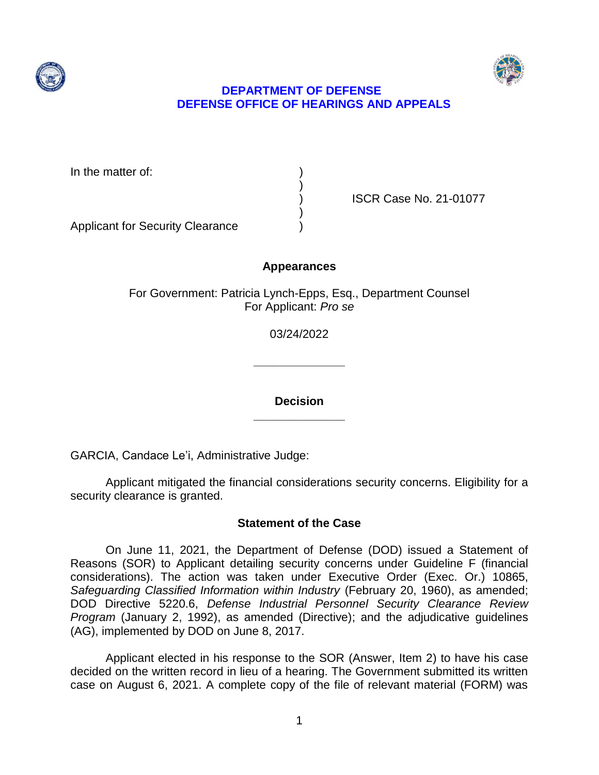



# **DEPARTMENT OF DEFENSE DEFENSE OFFICE OF HEARINGS AND APPEALS**

In the matter of:

) ISCR Case No. 21-01077

Applicant for Security Clearance )

# **Appearances**

)

)

For Government: Patricia Lynch-Epps, Esq., Department Counsel For Applicant: *Pro se* 

03/24/2022

**\_\_\_\_\_\_\_\_\_\_\_\_\_\_** 

**\_\_\_\_\_\_\_\_\_\_\_\_\_\_ Decision** 

GARCIA, Candace Le'i, Administrative Judge:

Applicant mitigated the financial considerations security concerns. Eligibility for a security clearance is granted.

# **Statement of the Case**

 On June 11, 2021, the Department of Defense (DOD) issued a Statement of Reasons (SOR) to Applicant detailing security concerns under Guideline F (financial considerations). The action was taken under Executive Order (Exec. Or.) 10865, Safeguarding Classified Information within Industry (February 20, 1960), as amended;  DOD Directive 5220.6, *Defense Industrial Personnel Security Clearance Review Program* (January 2, 1992), as amended (Directive); and the adjudicative guidelines (AG), implemented by DOD on June 8, 2017.

 Applicant elected in his response to the SOR (Answer, Item 2) to have his case decided on the written record in lieu of a hearing. The Government submitted its written case on August 6, 2021. A complete copy of the file of relevant material (FORM) was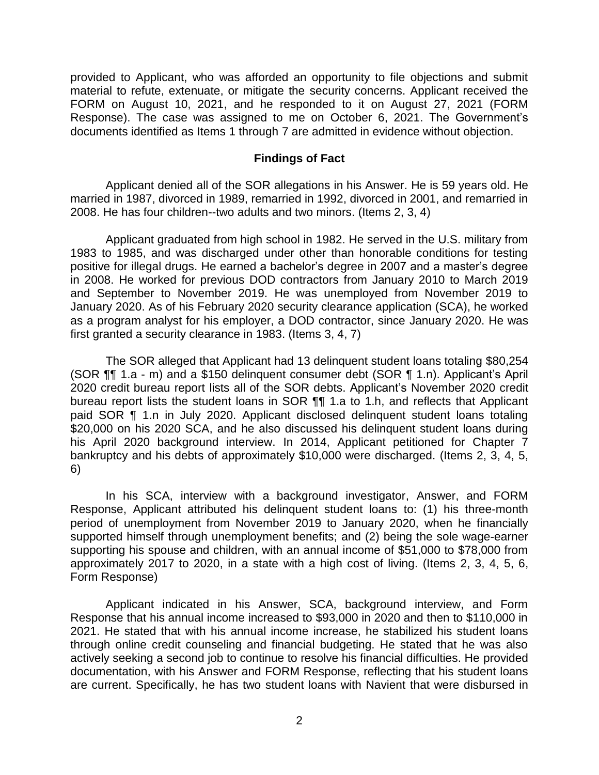provided to Applicant, who was afforded an opportunity to file objections and submit material to refute, extenuate, or mitigate the security concerns. Applicant received the FORM on August 10, 2021, and he responded to it on August 27, 2021 (FORM Response). The case was assigned to me on October 6, 2021. The Government's documents identified as Items 1 through 7 are admitted in evidence without objection.

#### **Findings of Fact**

 Applicant denied all of the SOR allegations in his Answer. He is 59 years old. He married in 1987, divorced in 1989, remarried in 1992, divorced in 2001, and remarried in 2008. He has four children--two adults and two minors. (Items 2, 3, 4)

 Applicant graduated from high school in 1982. He served in the U.S. military from 1983 to 1985, and was discharged under other than honorable conditions for testing positive for illegal drugs. He earned a bachelor's degree in 2007 and a master's degree in 2008. He worked for previous DOD contractors from January 2010 to March 2019 and September to November 2019. He was unemployed from November 2019 to January 2020. As of his February 2020 security clearance application (SCA), he worked as a program analyst for his employer, a DOD contractor, since January 2020. He was first granted a security clearance in 1983. (Items 3, 4, 7)

 2020 credit bureau report lists all of the SOR debts. Applicant's November 2020 credit bureau report lists the student loans in SOR ¶¶ 1.a to 1.h, and reflects that Applicant paid SOR ¶ 1.n in July 2020. Applicant disclosed delinquent student loans totaling \$20,000 on his 2020 SCA, and he also discussed his delinquent student loans during his April 2020 background interview. In 2014, Applicant petitioned for Chapter 7 bankruptcy and his debts of approximately \$10,000 were discharged. (Items 2, 3, 4, 5, The SOR alleged that Applicant had 13 delinquent student loans totaling \$80,254 (SOR ¶¶ 1.a - m) and a \$150 delinquent consumer debt (SOR ¶ 1.n). Applicant's April 6)

 In his SCA, interview with a background investigator, Answer, and FORM period of unemployment from November 2019 to January 2020, when he financially supported himself through unemployment benefits; and (2) being the sole wage-earner supporting his spouse and children, with an annual income of \$51,000 to \$78,000 from approximately 2017 to 2020, in a state with a high cost of living. (Items 2, 3, 4, 5, 6, Response, Applicant attributed his delinquent student loans to: (1) his three-month Form Response)

 Applicant indicated in his Answer, SCA, background interview, and Form Response that his annual income increased to \$93,000 in 2020 and then to \$110,000 in 2021. He stated that with his annual income increase, he stabilized his student loans through online credit counseling and financial budgeting. He stated that he was also actively seeking a second job to continue to resolve his financial difficulties. He provided documentation, with his Answer and FORM Response, reflecting that his student loans are current. Specifically, he has two student loans with Navient that were disbursed in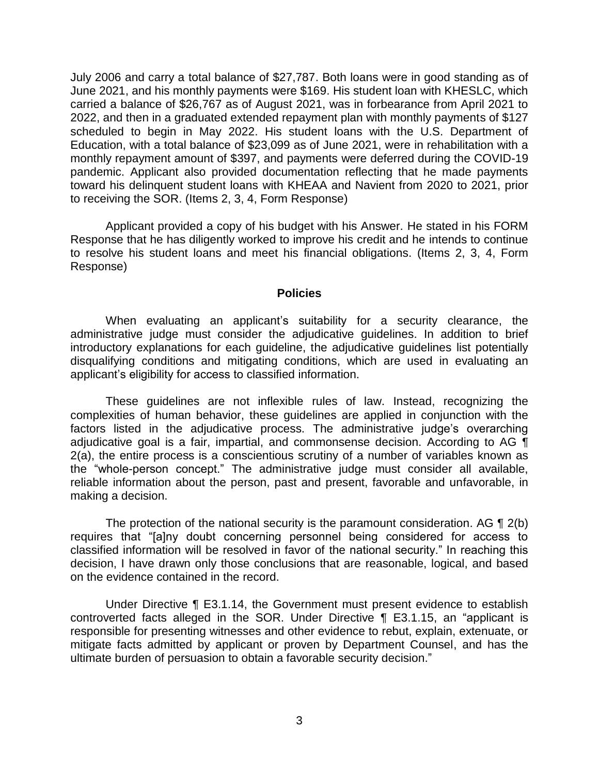July 2006 and carry a total balance of \$27,787. Both loans were in good standing as of carried a balance of \$26,767 as of August 2021, was in forbearance from April 2021 to scheduled to begin in May 2022. His student loans with the U.S. Department of Education, with a total balance of \$23,099 as of June 2021, were in rehabilitation with a monthly repayment amount of \$397, and payments were deferred during the COVID-19 pandemic. Applicant also provided documentation reflecting that he made payments toward his delinquent student loans with KHEAA and Navient from 2020 to 2021, prior June 2021, and his monthly payments were \$169. His student loan with KHESLC, which 2022, and then in a graduated extended repayment plan with monthly payments of \$127 to receiving the SOR. (Items 2, 3, 4, Form Response)

 Applicant provided a copy of his budget with his Answer. He stated in his FORM Response that he has diligently worked to improve his credit and he intends to continue to resolve his student loans and meet his financial obligations. (Items 2, 3, 4, Form Response)

#### **Policies**

 administrative judge must consider the adjudicative guidelines. In addition to brief introductory explanations for each guideline, the adjudicative guidelines list potentially disqualifying conditions and mitigating conditions, which are used in evaluating an When evaluating an applicant's suitability for a security clearance, the applicant's eligibility for access to classified information.

 These guidelines are not inflexible rules of law. Instead, recognizing the complexities of human behavior, these guidelines are applied in conjunction with the factors listed in the adjudicative process. The administrative judge's overarching adjudicative goal is a fair, impartial, and commonsense decision. According to AG  $\P$  2(a), the entire process is a conscientious scrutiny of a number of variables known as the "whole-person concept." The administrative judge must consider all available, reliable information about the person, past and present, favorable and unfavorable, in making a decision.

The protection of the national security is the paramount consideration. AG  $\P$  2(b) classified information will be resolved in favor of the national security." In reaching this decision, I have drawn only those conclusions that are reasonable, logical, and based requires that "[a]ny doubt concerning personnel being considered for access to on the evidence contained in the record.

 Under Directive ¶ E3.1.14, the Government must present evidence to establish responsible for presenting witnesses and other evidence to rebut, explain, extenuate, or mitigate facts admitted by applicant or proven by Department Counsel, and has the controverted facts alleged in the SOR. Under Directive ¶ E3.1.15, an "applicant is ultimate burden of persuasion to obtain a favorable security decision."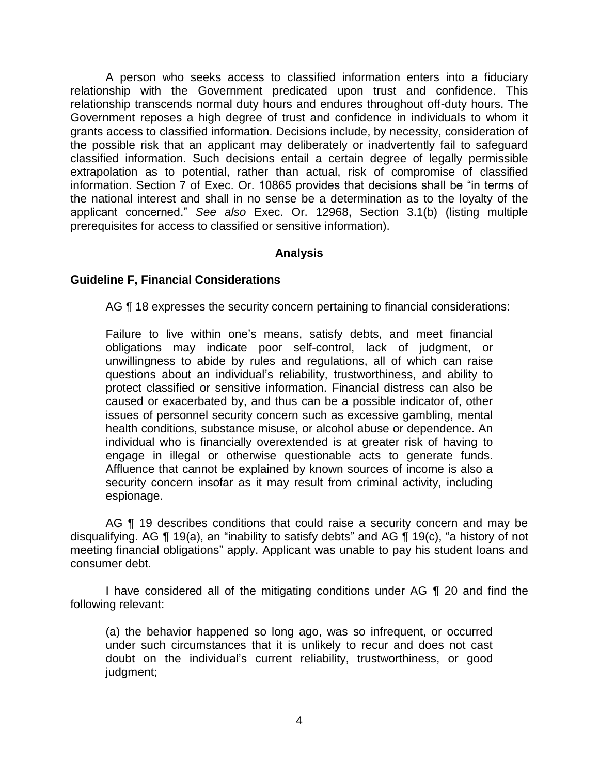A person who seeks access to classified information enters into a fiduciary relationship with the Government predicated upon trust and confidence. This relationship transcends normal duty hours and endures throughout off-duty hours. The Government reposes a high degree of trust and confidence in individuals to whom it grants access to classified information. Decisions include, by necessity, consideration of the possible risk that an applicant may deliberately or inadvertently fail to safeguard classified information. Such decisions entail a certain degree of legally permissible extrapolation as to potential, rather than actual, risk of compromise of classified information. Section 7 of Exec. Or. 10865 provides that decisions shall be "in terms of the national interest and shall in no sense be a determination as to the loyalty of the applicant concerned." *See also* Exec. Or. 12968, Section 3.1(b) (listing multiple prerequisites for access to classified or sensitive information).

# **Analysis**

# **Guideline F, Financial Considerations**

AG ¶ 18 expresses the security concern pertaining to financial considerations:

Failure to live within one's means, satisfy debts, and meet financial obligations may indicate poor self-control, lack of judgment, or unwillingness to abide by rules and regulations, all of which can raise questions about an individual's reliability, trustworthiness, and ability to protect classified or sensitive information. Financial distress can also be caused or exacerbated by, and thus can be a possible indicator of, other issues of personnel security concern such as excessive gambling, mental health conditions, substance misuse, or alcohol abuse or dependence. An individual who is financially overextended is at greater risk of having to engage in illegal or otherwise questionable acts to generate funds. Affluence that cannot be explained by known sources of income is also a security concern insofar as it may result from criminal activity, including espionage.

AG ¶ 19 describes conditions that could raise a security concern and may be disqualifying. AG ¶ 19(a), an "inability to satisfy debts" and AG ¶ 19(c), "a history of not meeting financial obligations" apply. Applicant was unable to pay his student loans and consumer debt.

 I have considered all of the mitigating conditions under AG ¶ 20 and find the following relevant:

(a) the behavior happened so long ago, was so infrequent, or occurred under such circumstances that it is unlikely to recur and does not cast doubt on the individual's current reliability, trustworthiness, or good judgment;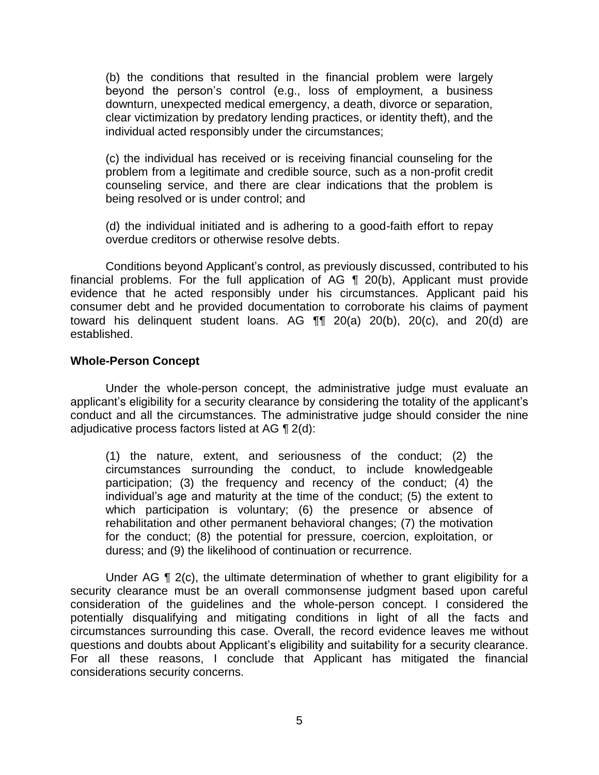(b) the conditions that resulted in the financial problem were largely beyond the person's control (e.g., loss of employment, a business downturn, unexpected medical emergency, a death, divorce or separation, clear victimization by predatory lending practices, or identity theft), and the individual acted responsibly under the circumstances;

(c) the individual has received or is receiving financial counseling for the problem from a legitimate and credible source, such as a non-profit credit counseling service, and there are clear indications that the problem is being resolved or is under control; and

(d) the individual initiated and is adhering to a good-faith effort to repay overdue creditors or otherwise resolve debts.

financial problems. For the full application of AG  $\parallel$  20(b), Applicant must provide evidence that he acted responsibly under his circumstances. Applicant paid his consumer debt and he provided documentation to corroborate his claims of payment Conditions beyond Applicant's control, as previously discussed, contributed to his toward his delinquent student loans. AG ¶¶ 20(a) 20(b), 20(c), and 20(d) are established.

#### **Whole-Person Concept**

 Under the whole-person concept, the administrative judge must evaluate an applicant's eligibility for a security clearance by considering the totality of the applicant's conduct and all the circumstances. The administrative judge should consider the nine adjudicative process factors listed at AG ¶ 2(d):

(1) the nature, extent, and seriousness of the conduct; (2) the circumstances surrounding the conduct, to include knowledgeable participation; (3) the frequency and recency of the conduct; (4) the individual's age and maturity at the time of the conduct; (5) the extent to which participation is voluntary; (6) the presence or absence of rehabilitation and other permanent behavioral changes; (7) the motivation for the conduct; (8) the potential for pressure, coercion, exploitation, or duress; and (9) the likelihood of continuation or recurrence.

Under AG  $\P$  2(c), the ultimate determination of whether to grant eligibility for a security clearance must be an overall commonsense judgment based upon careful consideration of the guidelines and the whole-person concept. I considered the potentially disqualifying and mitigating conditions in light of all the facts and circumstances surrounding this case. Overall, the record evidence leaves me without questions and doubts about Applicant's eligibility and suitability for a security clearance. For all these reasons, I conclude that Applicant has mitigated the financial considerations security concerns.